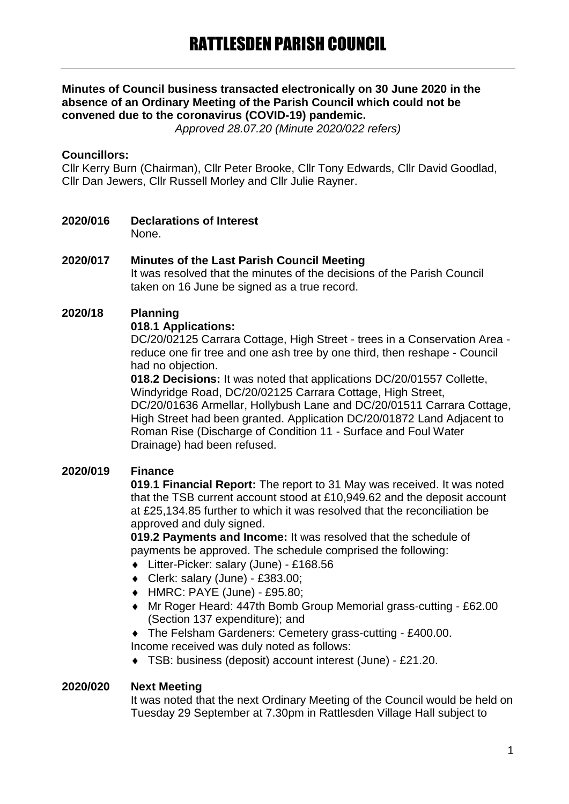## **Minutes of Council business transacted electronically on 30 June 2020 in the absence of an Ordinary Meeting of the Parish Council which could not be convened due to the coronavirus (COVID-19) pandemic.**

*Approved 28.07.20 (Minute 2020/022 refers)*

## **Councillors:**

Cllr Kerry Burn (Chairman), Cllr Peter Brooke, Cllr Tony Edwards, Cllr David Goodlad, Cllr Dan Jewers, Cllr Russell Morley and Cllr Julie Rayner.

**2020/016 Declarations of Interest** None.

## **2020/017 Minutes of the Last Parish Council Meeting**

It was resolved that the minutes of the decisions of the Parish Council taken on 16 June be signed as a true record.

### **2020/18 Planning**

#### **018.1 Applications:**

DC/20/02125 Carrara Cottage, High Street - trees in a Conservation Area reduce one fir tree and one ash tree by one third, then reshape - Council had no objection.

**018.2 Decisions:** It was noted that applications DC/20/01557 Collette, Windyridge Road, DC/20/02125 Carrara Cottage, High Street, DC/20/01636 Armellar, Hollybush Lane and DC/20/01511 Carrara Cottage, High Street had been granted. Application DC/20/01872 Land Adjacent to Roman Rise (Discharge of Condition 11 - Surface and Foul Water Drainage) had been refused.

## **2020/019 Finance**

**019.1 Financial Report:** The report to 31 May was received. It was noted that the TSB current account stood at £10,949.62 and the deposit account at £25,134.85 further to which it was resolved that the reconciliation be approved and duly signed.

**019.2 Payments and Income:** It was resolved that the schedule of payments be approved. The schedule comprised the following:

- Litter-Picker: salary (June) £168.56
- Clerk: salary (June) £383.00;
- HMRC: PAYE (June) £95.80;
- Mr Roger Heard: 447th Bomb Group Memorial grass-cutting £62.00 (Section 137 expenditure); and

 The Felsham Gardeners: Cemetery grass-cutting - £400.00. Income received was duly noted as follows:

TSB: business (deposit) account interest (June) - £21.20.

#### **2020/020 Next Meeting**

It was noted that the next Ordinary Meeting of the Council would be held on Tuesday 29 September at 7.30pm in Rattlesden Village Hall subject to